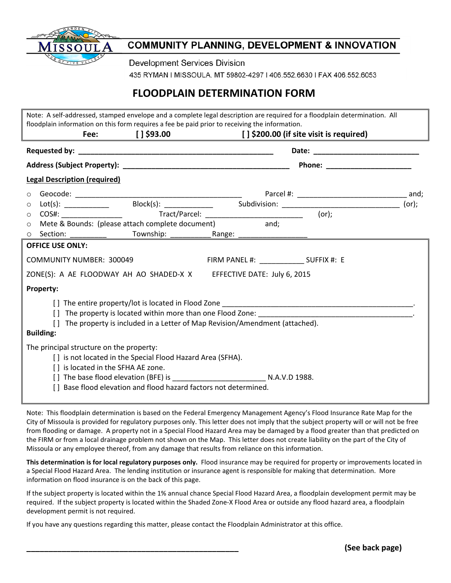

## **COMMUNITY PLANNING, DEVELOPMENT & INNOVATION**

**Development Services Division** 

435 RYMAN | MISSOULA. MT 59802-4297 | 406.552.6630 | FAX 406.552.6053

## **FLOODPLAIN DETERMINATION FORM**

|                                                                                                                                                                                                                                |                                                                            |                                    |                                                                                                                                                                         |                                           |  | Note: A self-addressed, stamped envelope and a complete legal description are required for a floodplain determination. All |       |  |
|--------------------------------------------------------------------------------------------------------------------------------------------------------------------------------------------------------------------------------|----------------------------------------------------------------------------|------------------------------------|-------------------------------------------------------------------------------------------------------------------------------------------------------------------------|-------------------------------------------|--|----------------------------------------------------------------------------------------------------------------------------|-------|--|
|                                                                                                                                                                                                                                |                                                                            |                                    | floodplain information on this form requires a fee be paid prior to receiving the information.<br>Fee: [] \$93.00 [] [] \$93.00 [] \$200.00 (if site visit is required) |                                           |  |                                                                                                                            |       |  |
|                                                                                                                                                                                                                                |                                                                            |                                    |                                                                                                                                                                         |                                           |  |                                                                                                                            |       |  |
|                                                                                                                                                                                                                                |                                                                            |                                    |                                                                                                                                                                         |                                           |  |                                                                                                                            |       |  |
|                                                                                                                                                                                                                                | <b>Legal Description (required)</b>                                        |                                    |                                                                                                                                                                         |                                           |  |                                                                                                                            |       |  |
| $\circ$                                                                                                                                                                                                                        |                                                                            |                                    |                                                                                                                                                                         |                                           |  |                                                                                                                            |       |  |
| $\circ$                                                                                                                                                                                                                        |                                                                            |                                    |                                                                                                                                                                         |                                           |  |                                                                                                                            | (or); |  |
| $\circ$                                                                                                                                                                                                                        |                                                                            |                                    |                                                                                                                                                                         |                                           |  |                                                                                                                            |       |  |
| $\circ$                                                                                                                                                                                                                        |                                                                            |                                    | Mete & Bounds: (please attach complete document) and;                                                                                                                   |                                           |  |                                                                                                                            |       |  |
| $\circ$                                                                                                                                                                                                                        | Section:                                                                   |                                    |                                                                                                                                                                         |                                           |  |                                                                                                                            |       |  |
|                                                                                                                                                                                                                                | <b>OFFICE USE ONLY:</b>                                                    |                                    |                                                                                                                                                                         |                                           |  |                                                                                                                            |       |  |
| <b>COMMUNITY NUMBER: 300049</b>                                                                                                                                                                                                |                                                                            |                                    |                                                                                                                                                                         | FIRM PANEL #: _______________ SUFFIX #: E |  |                                                                                                                            |       |  |
|                                                                                                                                                                                                                                |                                                                            |                                    | ZONE(S): A AE FLOODWAY AH AO SHADED-X X EFFECTIVE DATE: July 6, 2015                                                                                                    |                                           |  |                                                                                                                            |       |  |
|                                                                                                                                                                                                                                | Property:                                                                  |                                    |                                                                                                                                                                         |                                           |  |                                                                                                                            |       |  |
|                                                                                                                                                                                                                                |                                                                            |                                    |                                                                                                                                                                         |                                           |  |                                                                                                                            |       |  |
| [] The property is located within more than one Flood Zone: Letterman and the control of the control of the control of the control of the control of the control of the control of the control of the control of the control o |                                                                            |                                    |                                                                                                                                                                         |                                           |  |                                                                                                                            |       |  |
|                                                                                                                                                                                                                                | The property is included in a Letter of Map Revision/Amendment (attached). |                                    |                                                                                                                                                                         |                                           |  |                                                                                                                            |       |  |
|                                                                                                                                                                                                                                | <b>Building:</b>                                                           |                                    |                                                                                                                                                                         |                                           |  |                                                                                                                            |       |  |
|                                                                                                                                                                                                                                | The principal structure on the property:                                   |                                    |                                                                                                                                                                         |                                           |  |                                                                                                                            |       |  |
| [] is not located in the Special Flood Hazard Area (SFHA).                                                                                                                                                                     |                                                                            |                                    |                                                                                                                                                                         |                                           |  |                                                                                                                            |       |  |
|                                                                                                                                                                                                                                |                                                                            | [] is located in the SFHA AE zone. |                                                                                                                                                                         |                                           |  |                                                                                                                            |       |  |
|                                                                                                                                                                                                                                |                                                                            |                                    |                                                                                                                                                                         |                                           |  |                                                                                                                            |       |  |
|                                                                                                                                                                                                                                | Base flood elevation and flood hazard factors not determined.              |                                    |                                                                                                                                                                         |                                           |  |                                                                                                                            |       |  |
|                                                                                                                                                                                                                                |                                                                            |                                    |                                                                                                                                                                         |                                           |  |                                                                                                                            |       |  |

Note: This floodplain determination is based on the Federal Emergency Management Agency's Flood Insurance Rate Map for the City of Missoula is provided for regulatory purposes only. This letter does not imply that the subject property will or will not be free from flooding or damage. A property not in a Special Flood Hazard Area may be damaged by a flood greater than that predicted on the FIRM or from a local drainage problem not shown on the Map. This letter does not create liability on the part of the City of Missoula or any employee thereof, from any damage that results from reliance on this information.

**This determination is for local regulatory purposes only.** Flood insurance may be required for property or improvements located in a Special Flood Hazard Area. The lending institution or insurance agent is responsible for making that determination. More information on flood insurance is on the back of this page.

If the subject property is located within the 1% annual chance Special Flood Hazard Area, a floodplain development permit may be required. If the subject property is located within the Shaded Zone-X Flood Area or outside any flood hazard area, a floodplain development permit is not required.

If you have any questions regarding this matter, please contact the Floodplain Administrator at this office.